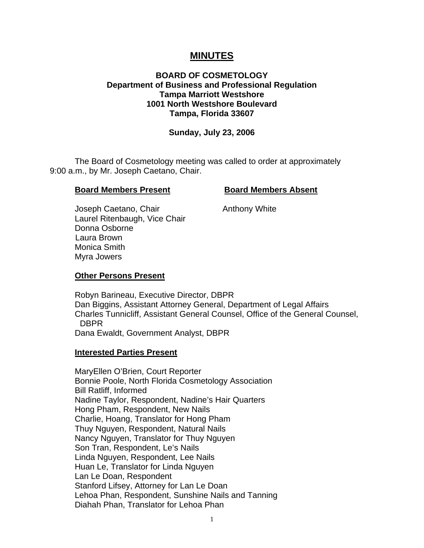# **MINUTES**

## **BOARD OF COSMETOLOGY Department of Business and Professional Regulation Tampa Marriott Westshore 1001 North Westshore Boulevard Tampa, Florida 33607**

#### **Sunday, July 23, 2006**

 The Board of Cosmetology meeting was called to order at approximately 9:00 a.m., by Mr. Joseph Caetano, Chair.

#### **Board Members Present Board Members Absent**

Joseph Caetano, Chair **Anthony White**  Laurel Ritenbaugh, Vice Chair Donna Osborne Laura Brown Monica Smith Myra Jowers

#### **Other Persons Present**

 Robyn Barineau, Executive Director, DBPR Dan Biggins, Assistant Attorney General, Department of Legal Affairs Charles Tunnicliff, Assistant General Counsel, Office of the General Counsel, DBPR Dana Ewaldt, Government Analyst, DBPR

#### **Interested Parties Present**

MaryEllen O'Brien, Court Reporter Bonnie Poole, North Florida Cosmetology Association Bill Ratliff, Informed Nadine Taylor, Respondent, Nadine's Hair Quarters Hong Pham, Respondent, New Nails Charlie, Hoang, Translator for Hong Pham Thuy Nguyen, Respondent, Natural Nails Nancy Nguyen, Translator for Thuy Nguyen Son Tran, Respondent, Le's Nails Linda Nguyen, Respondent, Lee Nails Huan Le, Translator for Linda Nguyen Lan Le Doan, Respondent Stanford Lifsey, Attorney for Lan Le Doan Lehoa Phan, Respondent, Sunshine Nails and Tanning Diahah Phan, Translator for Lehoa Phan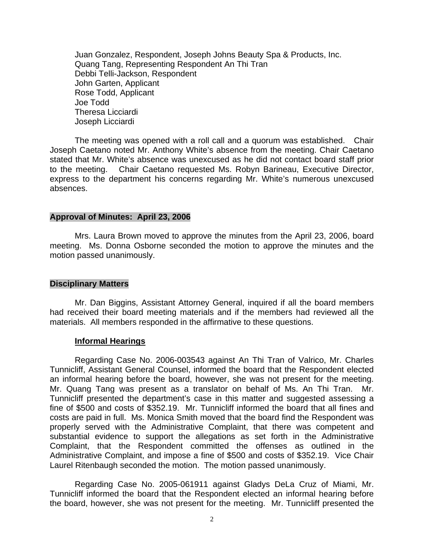Juan Gonzalez, Respondent, Joseph Johns Beauty Spa & Products, Inc. Quang Tang, Representing Respondent An Thi Tran Debbi Telli-Jackson, Respondent John Garten, Applicant Rose Todd, Applicant Joe Todd Theresa Licciardi Joseph Licciardi

 The meeting was opened with a roll call and a quorum was established. Chair Joseph Caetano noted Mr. Anthony White's absence from the meeting. Chair Caetano stated that Mr. White's absence was unexcused as he did not contact board staff prior to the meeting. Chair Caetano requested Ms. Robyn Barineau, Executive Director, express to the department his concerns regarding Mr. White's numerous unexcused absences.

#### **Approval of Minutes: April 23, 2006**

Mrs. Laura Brown moved to approve the minutes from the April 23, 2006, board meeting. Ms. Donna Osborne seconded the motion to approve the minutes and the motion passed unanimously.

#### **Disciplinary Matters**

Mr. Dan Biggins, Assistant Attorney General, inquired if all the board members had received their board meeting materials and if the members had reviewed all the materials. All members responded in the affirmative to these questions.

#### **Informal Hearings**

Regarding Case No. 2006-003543 against An Thi Tran of Valrico, Mr. Charles Tunnicliff, Assistant General Counsel, informed the board that the Respondent elected an informal hearing before the board, however, she was not present for the meeting. Mr. Quang Tang was present as a translator on behalf of Ms. An Thi Tran. Mr. Tunnicliff presented the department's case in this matter and suggested assessing a fine of \$500 and costs of \$352.19. Mr. Tunnicliff informed the board that all fines and costs are paid in full. Ms. Monica Smith moved that the board find the Respondent was properly served with the Administrative Complaint, that there was competent and substantial evidence to support the allegations as set forth in the Administrative Complaint, that the Respondent committed the offenses as outlined in the Administrative Complaint, and impose a fine of \$500 and costs of \$352.19. Vice Chair Laurel Ritenbaugh seconded the motion. The motion passed unanimously.

Regarding Case No. 2005-061911 against Gladys DeLa Cruz of Miami, Mr. Tunnicliff informed the board that the Respondent elected an informal hearing before the board, however, she was not present for the meeting. Mr. Tunnicliff presented the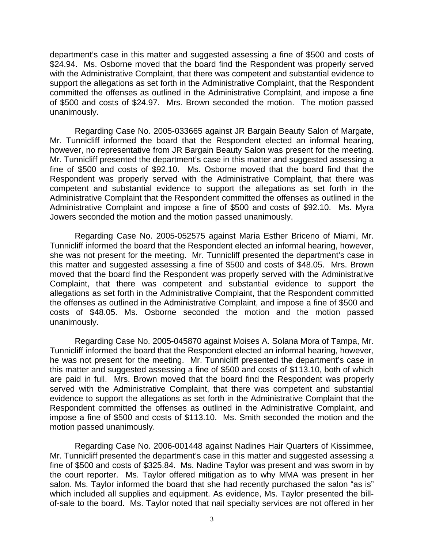department's case in this matter and suggested assessing a fine of \$500 and costs of \$24.94. Ms. Osborne moved that the board find the Respondent was properly served with the Administrative Complaint, that there was competent and substantial evidence to support the allegations as set forth in the Administrative Complaint, that the Respondent committed the offenses as outlined in the Administrative Complaint, and impose a fine of \$500 and costs of \$24.97. Mrs. Brown seconded the motion. The motion passed unanimously.

 Regarding Case No. 2005-033665 against JR Bargain Beauty Salon of Margate, Mr. Tunnicliff informed the board that the Respondent elected an informal hearing, however, no representative from JR Bargain Beauty Salon was present for the meeting. Mr. Tunnicliff presented the department's case in this matter and suggested assessing a fine of \$500 and costs of \$92.10. Ms. Osborne moved that the board find that the Respondent was properly served with the Administrative Complaint, that there was competent and substantial evidence to support the allegations as set forth in the Administrative Complaint that the Respondent committed the offenses as outlined in the Administrative Complaint and impose a fine of \$500 and costs of \$92.10. Ms. Myra Jowers seconded the motion and the motion passed unanimously.

 Regarding Case No. 2005-052575 against Maria Esther Briceno of Miami, Mr. Tunnicliff informed the board that the Respondent elected an informal hearing, however, she was not present for the meeting. Mr. Tunnicliff presented the department's case in this matter and suggested assessing a fine of \$500 and costs of \$48.05. Mrs. Brown moved that the board find the Respondent was properly served with the Administrative Complaint, that there was competent and substantial evidence to support the allegations as set forth in the Administrative Complaint, that the Respondent committed the offenses as outlined in the Administrative Complaint, and impose a fine of \$500 and costs of \$48.05. Ms. Osborne seconded the motion and the motion passed unanimously.

Regarding Case No. 2005-045870 against Moises A. Solana Mora of Tampa, Mr. Tunnicliff informed the board that the Respondent elected an informal hearing, however, he was not present for the meeting. Mr. Tunnicliff presented the department's case in this matter and suggested assessing a fine of \$500 and costs of \$113.10, both of which are paid in full. Mrs. Brown moved that the board find the Respondent was properly served with the Administrative Complaint, that there was competent and substantial evidence to support the allegations as set forth in the Administrative Complaint that the Respondent committed the offenses as outlined in the Administrative Complaint, and impose a fine of \$500 and costs of \$113.10. Ms. Smith seconded the motion and the motion passed unanimously.

 Regarding Case No. 2006-001448 against Nadines Hair Quarters of Kissimmee, Mr. Tunnicliff presented the department's case in this matter and suggested assessing a fine of \$500 and costs of \$325.84. Ms. Nadine Taylor was present and was sworn in by the court reporter. Ms. Taylor offered mitigation as to why MMA was present in her salon. Ms. Taylor informed the board that she had recently purchased the salon "as is" which included all supplies and equipment. As evidence, Ms. Taylor presented the billof-sale to the board. Ms. Taylor noted that nail specialty services are not offered in her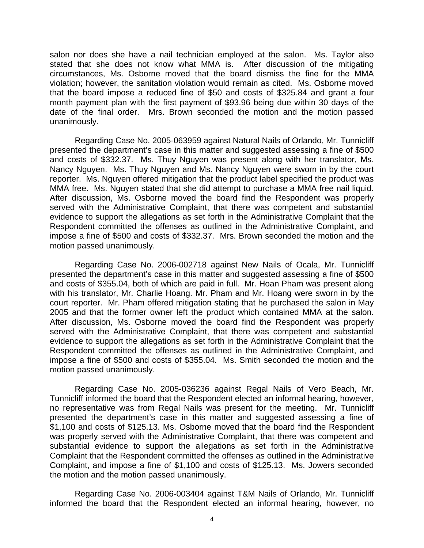salon nor does she have a nail technician employed at the salon. Ms. Taylor also stated that she does not know what MMA is. After discussion of the mitigating circumstances, Ms. Osborne moved that the board dismiss the fine for the MMA violation; however, the sanitation violation would remain as cited. Ms. Osborne moved that the board impose a reduced fine of \$50 and costs of \$325.84 and grant a four month payment plan with the first payment of \$93.96 being due within 30 days of the date of the final order. Mrs. Brown seconded the motion and the motion passed unanimously.

 Regarding Case No. 2005-063959 against Natural Nails of Orlando, Mr. Tunnicliff presented the department's case in this matter and suggested assessing a fine of \$500 and costs of \$332.37. Ms. Thuy Nguyen was present along with her translator, Ms. Nancy Nguyen. Ms. Thuy Nguyen and Ms. Nancy Nguyen were sworn in by the court reporter. Ms. Nguyen offered mitigation that the product label specified the product was MMA free. Ms. Nguyen stated that she did attempt to purchase a MMA free nail liquid. After discussion, Ms. Osborne moved the board find the Respondent was properly served with the Administrative Complaint, that there was competent and substantial evidence to support the allegations as set forth in the Administrative Complaint that the Respondent committed the offenses as outlined in the Administrative Complaint, and impose a fine of \$500 and costs of \$332.37. Mrs. Brown seconded the motion and the motion passed unanimously.

Regarding Case No. 2006-002718 against New Nails of Ocala, Mr. Tunnicliff presented the department's case in this matter and suggested assessing a fine of \$500 and costs of \$355.04, both of which are paid in full. Mr. Hoan Pham was present along with his translator, Mr. Charlie Hoang. Mr. Pham and Mr. Hoang were sworn in by the court reporter. Mr. Pham offered mitigation stating that he purchased the salon in May 2005 and that the former owner left the product which contained MMA at the salon. After discussion, Ms. Osborne moved the board find the Respondent was properly served with the Administrative Complaint, that there was competent and substantial evidence to support the allegations as set forth in the Administrative Complaint that the Respondent committed the offenses as outlined in the Administrative Complaint, and impose a fine of \$500 and costs of \$355.04. Ms. Smith seconded the motion and the motion passed unanimously.

 Regarding Case No. 2005-036236 against Regal Nails of Vero Beach, Mr. Tunnicliff informed the board that the Respondent elected an informal hearing, however, no representative was from Regal Nails was present for the meeting. Mr. Tunnicliff presented the department's case in this matter and suggested assessing a fine of \$1,100 and costs of \$125.13. Ms. Osborne moved that the board find the Respondent was properly served with the Administrative Complaint, that there was competent and substantial evidence to support the allegations as set forth in the Administrative Complaint that the Respondent committed the offenses as outlined in the Administrative Complaint, and impose a fine of \$1,100 and costs of \$125.13. Ms. Jowers seconded the motion and the motion passed unanimously.

 Regarding Case No. 2006-003404 against T&M Nails of Orlando, Mr. Tunnicliff informed the board that the Respondent elected an informal hearing, however, no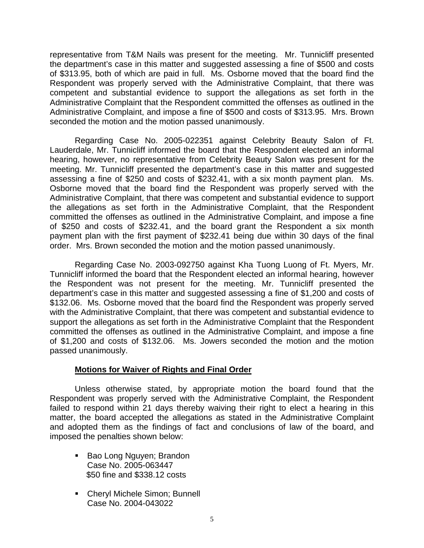representative from T&M Nails was present for the meeting. Mr. Tunnicliff presented the department's case in this matter and suggested assessing a fine of \$500 and costs of \$313.95, both of which are paid in full. Ms. Osborne moved that the board find the Respondent was properly served with the Administrative Complaint, that there was competent and substantial evidence to support the allegations as set forth in the Administrative Complaint that the Respondent committed the offenses as outlined in the Administrative Complaint, and impose a fine of \$500 and costs of \$313.95. Mrs. Brown seconded the motion and the motion passed unanimously.

 Regarding Case No. 2005-022351 against Celebrity Beauty Salon of Ft. Lauderdale, Mr. Tunnicliff informed the board that the Respondent elected an informal hearing, however, no representative from Celebrity Beauty Salon was present for the meeting. Mr. Tunnicliff presented the department's case in this matter and suggested assessing a fine of \$250 and costs of \$232.41, with a six month payment plan. Ms. Osborne moved that the board find the Respondent was properly served with the Administrative Complaint, that there was competent and substantial evidence to support the allegations as set forth in the Administrative Complaint, that the Respondent committed the offenses as outlined in the Administrative Complaint, and impose a fine of \$250 and costs of \$232.41, and the board grant the Respondent a six month payment plan with the first payment of \$232.41 being due within 30 days of the final order. Mrs. Brown seconded the motion and the motion passed unanimously.

 Regarding Case No. 2003-092750 against Kha Tuong Luong of Ft. Myers, Mr. Tunnicliff informed the board that the Respondent elected an informal hearing, however the Respondent was not present for the meeting. Mr. Tunnicliff presented the department's case in this matter and suggested assessing a fine of \$1,200 and costs of \$132.06. Ms. Osborne moved that the board find the Respondent was properly served with the Administrative Complaint, that there was competent and substantial evidence to support the allegations as set forth in the Administrative Complaint that the Respondent committed the offenses as outlined in the Administrative Complaint, and impose a fine of \$1,200 and costs of \$132.06. Ms. Jowers seconded the motion and the motion passed unanimously.

## **Motions for Waiver of Rights and Final Order**

 Unless otherwise stated, by appropriate motion the board found that the Respondent was properly served with the Administrative Complaint, the Respondent failed to respond within 21 days thereby waiving their right to elect a hearing in this matter, the board accepted the allegations as stated in the Administrative Complaint and adopted them as the findings of fact and conclusions of law of the board, and imposed the penalties shown below:

- Bao Long Nguyen; Brandon Case No. 2005-063447 \$50 fine and \$338.12 costs
- Cheryl Michele Simon; Bunnell Case No. 2004-043022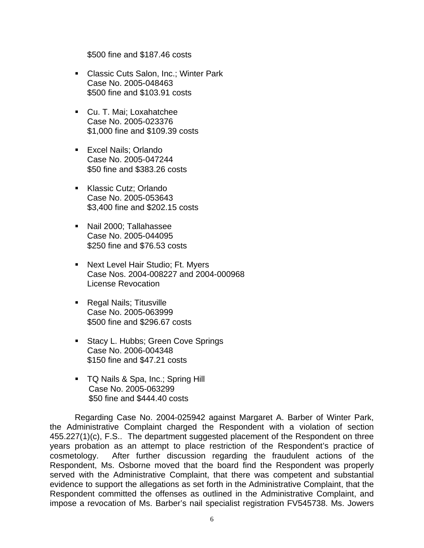\$500 fine and \$187.46 costs

- **Classic Cuts Salon, Inc.; Winter Park** Case No. 2005-048463 \$500 fine and \$103.91 costs
- Cu. T. Mai; Loxahatchee Case No. 2005-023376 \$1,000 fine and \$109.39 costs
- **Excel Nails; Orlando** Case No. 2005-047244 \$50 fine and \$383.26 costs
- Klassic Cutz: Orlando Case No. 2005-053643 \$3,400 fine and \$202.15 costs
- Nail 2000; Tallahassee Case No. 2005-044095 \$250 fine and \$76.53 costs
- **Next Level Hair Studio; Ft. Myers** Case Nos. 2004-008227 and 2004-000968 License Revocation
- Regal Nails; Titusville Case No. 2005-063999 \$500 fine and \$296.67 costs
- Stacy L. Hubbs; Green Cove Springs Case No. 2006-004348 \$150 fine and \$47.21 costs
- **TQ Nails & Spa, Inc.; Spring Hill**  Case No. 2005-063299 \$50 fine and \$444.40 costs

 Regarding Case No. 2004-025942 against Margaret A. Barber of Winter Park, the Administrative Complaint charged the Respondent with a violation of section 455.227(1)(c), F.S.. The department suggested placement of the Respondent on three years probation as an attempt to place restriction of the Respondent's practice of cosmetology. After further discussion regarding the fraudulent actions of the Respondent, Ms. Osborne moved that the board find the Respondent was properly served with the Administrative Complaint, that there was competent and substantial evidence to support the allegations as set forth in the Administrative Complaint, that the Respondent committed the offenses as outlined in the Administrative Complaint, and impose a revocation of Ms. Barber's nail specialist registration FV545738. Ms. Jowers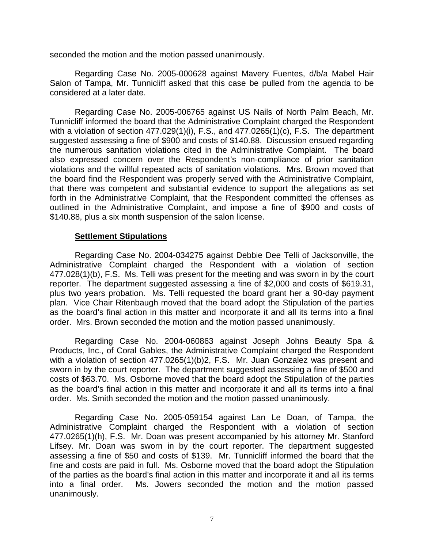seconded the motion and the motion passed unanimously.

 Regarding Case No. 2005-000628 against Mavery Fuentes, d/b/a Mabel Hair Salon of Tampa, Mr. Tunnicliff asked that this case be pulled from the agenda to be considered at a later date.

 Regarding Case No. 2005-006765 against US Nails of North Palm Beach, Mr. Tunnicliff informed the board that the Administrative Complaint charged the Respondent with a violation of section 477.029(1)(i), F.S., and 477.0265(1)(c), F.S. The department suggested assessing a fine of \$900 and costs of \$140.88. Discussion ensued regarding the numerous sanitation violations cited in the Administrative Complaint. The board also expressed concern over the Respondent's non-compliance of prior sanitation violations and the willful repeated acts of sanitation violations. Mrs. Brown moved that the board find the Respondent was properly served with the Administrative Complaint, that there was competent and substantial evidence to support the allegations as set forth in the Administrative Complaint, that the Respondent committed the offenses as outlined in the Administrative Complaint, and impose a fine of \$900 and costs of \$140.88, plus a six month suspension of the salon license.

#### **Settlement Stipulations**

 Regarding Case No. 2004-034275 against Debbie Dee Telli of Jacksonville, the Administrative Complaint charged the Respondent with a violation of section 477.028(1)(b), F.S. Ms. Telli was present for the meeting and was sworn in by the court reporter. The department suggested assessing a fine of \$2,000 and costs of \$619.31, plus two years probation. Ms. Telli requested the board grant her a 90-day payment plan. Vice Chair Ritenbaugh moved that the board adopt the Stipulation of the parties as the board's final action in this matter and incorporate it and all its terms into a final order. Mrs. Brown seconded the motion and the motion passed unanimously.

 Regarding Case No. 2004-060863 against Joseph Johns Beauty Spa & Products, Inc., of Coral Gables, the Administrative Complaint charged the Respondent with a violation of section 477.0265(1)(b)2, F.S. Mr. Juan Gonzalez was present and sworn in by the court reporter. The department suggested assessing a fine of \$500 and costs of \$63.70. Ms. Osborne moved that the board adopt the Stipulation of the parties as the board's final action in this matter and incorporate it and all its terms into a final order. Ms. Smith seconded the motion and the motion passed unanimously.

 Regarding Case No. 2005-059154 against Lan Le Doan, of Tampa, the Administrative Complaint charged the Respondent with a violation of section 477.0265(1)(h), F.S. Mr. Doan was present accompanied by his attorney Mr. Stanford Lifsey. Mr. Doan was sworn in by the court reporter. The department suggested assessing a fine of \$50 and costs of \$139. Mr. Tunnicliff informed the board that the fine and costs are paid in full. Ms. Osborne moved that the board adopt the Stipulation of the parties as the board's final action in this matter and incorporate it and all its terms into a final order. Ms. Jowers seconded the motion and the motion passed unanimously.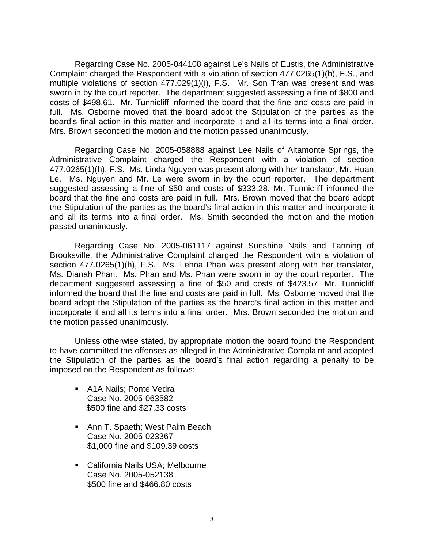Regarding Case No. 2005-044108 against Le's Nails of Eustis, the Administrative Complaint charged the Respondent with a violation of section 477.0265(1)(h), F.S., and multiple violations of section 477.029(1)(i), F.S. Mr. Son Tran was present and was sworn in by the court reporter. The department suggested assessing a fine of \$800 and costs of \$498.61. Mr. Tunnicliff informed the board that the fine and costs are paid in full. Ms. Osborne moved that the board adopt the Stipulation of the parties as the board's final action in this matter and incorporate it and all its terms into a final order. Mrs. Brown seconded the motion and the motion passed unanimously.

 Regarding Case No. 2005-058888 against Lee Nails of Altamonte Springs, the Administrative Complaint charged the Respondent with a violation of section 477.0265(1)(h), F.S. Ms. Linda Nguyen was present along with her translator, Mr. Huan Le. Ms. Nguyen and Mr. Le were sworn in by the court reporter. The department suggested assessing a fine of \$50 and costs of \$333.28. Mr. Tunnicliff informed the board that the fine and costs are paid in full. Mrs. Brown moved that the board adopt the Stipulation of the parties as the board's final action in this matter and incorporate it and all its terms into a final order. Ms. Smith seconded the motion and the motion passed unanimously.

 Regarding Case No. 2005-061117 against Sunshine Nails and Tanning of Brooksville, the Administrative Complaint charged the Respondent with a violation of section 477.0265(1)(h), F.S. Ms. Lehoa Phan was present along with her translator, Ms. Dianah Phan. Ms. Phan and Ms. Phan were sworn in by the court reporter. The department suggested assessing a fine of \$50 and costs of \$423.57. Mr. Tunnicliff informed the board that the fine and costs are paid in full. Ms. Osborne moved that the board adopt the Stipulation of the parties as the board's final action in this matter and incorporate it and all its terms into a final order. Mrs. Brown seconded the motion and the motion passed unanimously.

 Unless otherwise stated, by appropriate motion the board found the Respondent to have committed the offenses as alleged in the Administrative Complaint and adopted the Stipulation of the parties as the board's final action regarding a penalty to be imposed on the Respondent as follows:

- A1A Nails; Ponte Vedra Case No. 2005-063582 \$500 fine and \$27.33 costs
- **Ann T. Spaeth; West Palm Beach** Case No. 2005-023367 \$1,000 fine and \$109.39 costs
- California Nails USA; Melbourne Case No. 2005-052138 \$500 fine and \$466.80 costs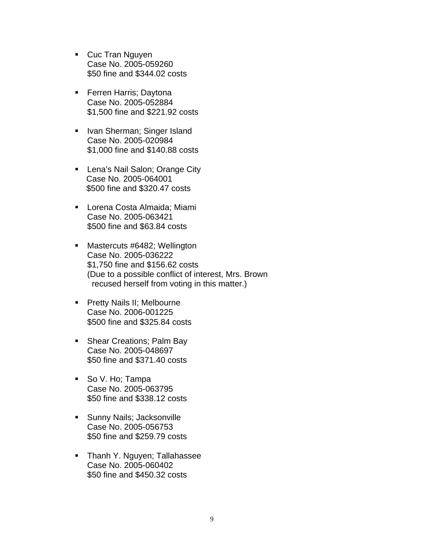- **Cuc Tran Nguyen** Case No. 2005-059260 \$50 fine and \$344.02 costs
- **Ferren Harris; Daytona** Case No. 2005-052884 \$1,500 fine and \$221.92 costs
- **IVan Sherman; Singer Island** Case No. 2005-020984 \$1,000 fine and \$140.88 costs
- **Lena's Nail Salon; Orange City**  Case No. 2005-064001 \$500 fine and \$320.47 costs
- Lorena Costa Almaida; Miami Case No. 2005-063421 \$500 fine and \$63.84 costs
- **Mastercuts #6482; Wellington** Case No. 2005-036222 \$1,750 fine and \$156.62 costs (Due to a possible conflict of interest, Mrs. Brown recused herself from voting in this matter.)
- **Pretty Nails II; Melbourne** Case No. 2006-001225 \$500 fine and \$325.84 costs
- Shear Creations; Palm Bay Case No. 2005-048697 \$50 fine and \$371.40 costs
- So V. Ho; Tampa Case No. 2005-063795 \$50 fine and \$338.12 costs
- **Sunny Nails; Jacksonville** Case No. 2005-056753 \$50 fine and \$259.79 costs
- **Thanh Y. Nguyen; Tallahassee** Case No. 2005-060402 \$50 fine and \$450.32 costs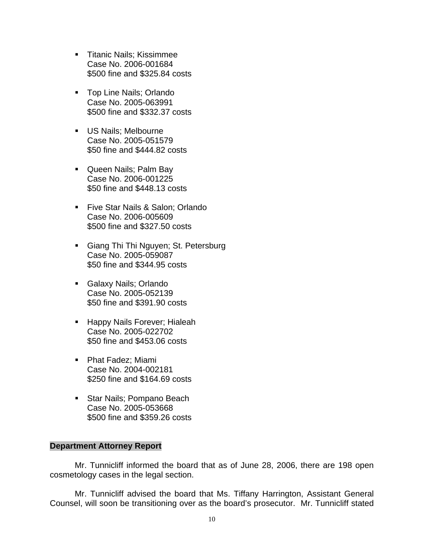- **Titanic Nails: Kissimmee** Case No. 2006-001684 \$500 fine and \$325.84 costs
- **Top Line Nails; Orlando** Case No. 2005-063991 \$500 fine and \$332.37 costs
- **US Nails: Melbourne** Case No. 2005-051579 \$50 fine and \$444.82 costs
- Queen Nails; Palm Bay Case No. 2006-001225 \$50 fine and \$448.13 costs
- **Five Star Nails & Salon; Orlando** Case No. 2006-005609 \$500 fine and \$327.50 costs
- **Giang Thi Thi Nguyen; St. Petersburg** Case No. 2005-059087 \$50 fine and \$344.95 costs
- Galaxy Nails; Orlando Case No. 2005-052139 \$50 fine and \$391.90 costs
- **Happy Nails Forever; Hialeah** Case No. 2005-022702 \$50 fine and \$453.06 costs
- Phat Fadez; Miami Case No. 2004-002181 \$250 fine and \$164.69 costs
- **Star Nails; Pompano Beach** Case No. 2005-053668 \$500 fine and \$359.26 costs

## **Department Attorney Report**

Mr. Tunnicliff informed the board that as of June 28, 2006, there are 198 open cosmetology cases in the legal section.

 Mr. Tunnicliff advised the board that Ms. Tiffany Harrington, Assistant General Counsel, will soon be transitioning over as the board's prosecutor. Mr. Tunnicliff stated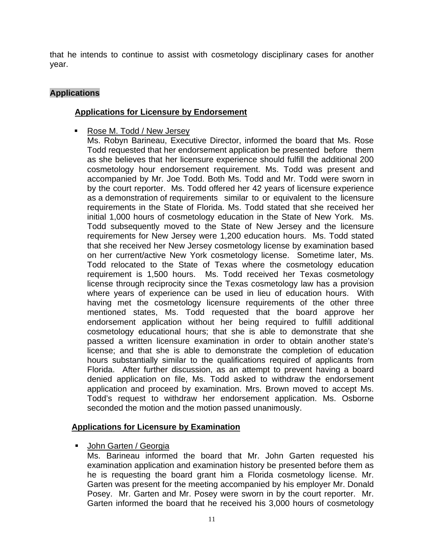that he intends to continue to assist with cosmetology disciplinary cases for another year.

# **Applications**

# **Applications for Licensure by Endorsement**

■ Rose M. Todd / New Jersey

Ms. Robyn Barineau, Executive Director, informed the board that Ms. Rose Todd requested that her endorsement application be presented before them as she believes that her licensure experience should fulfill the additional 200 cosmetology hour endorsement requirement. Ms. Todd was present and accompanied by Mr. Joe Todd. Both Ms. Todd and Mr. Todd were sworn in by the court reporter. Ms. Todd offered her 42 years of licensure experience as a demonstration of requirements similar to or equivalent to the licensure requirements in the State of Florida. Ms. Todd stated that she received her initial 1,000 hours of cosmetology education in the State of New York. Ms. Todd subsequently moved to the State of New Jersey and the licensure requirements for New Jersey were 1,200 education hours. Ms. Todd stated that she received her New Jersey cosmetology license by examination based on her current/active New York cosmetology license. Sometime later, Ms. Todd relocated to the State of Texas where the cosmetology education requirement is 1,500 hours. Ms. Todd received her Texas cosmetology license through reciprocity since the Texas cosmetology law has a provision where years of experience can be used in lieu of education hours. With having met the cosmetology licensure requirements of the other three mentioned states, Ms. Todd requested that the board approve her endorsement application without her being required to fulfill additional cosmetology educational hours; that she is able to demonstrate that she passed a written licensure examination in order to obtain another state's license; and that she is able to demonstrate the completion of education hours substantially similar to the qualifications required of applicants from Florida. After further discussion, as an attempt to prevent having a board denied application on file, Ms. Todd asked to withdraw the endorsement application and proceed by examination. Mrs. Brown moved to accept Ms. Todd's request to withdraw her endorsement application. Ms. Osborne seconded the motion and the motion passed unanimously.

## **Applications for Licensure by Examination**

■ John Garten / Georgia

Ms. Barineau informed the board that Mr. John Garten requested his examination application and examination history be presented before them as he is requesting the board grant him a Florida cosmetology license. Mr. Garten was present for the meeting accompanied by his employer Mr. Donald Posey. Mr. Garten and Mr. Posey were sworn in by the court reporter. Mr. Garten informed the board that he received his 3,000 hours of cosmetology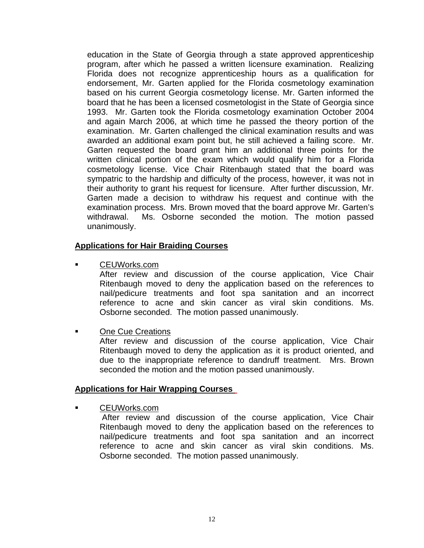education in the State of Georgia through a state approved apprenticeship program, after which he passed a written licensure examination. Realizing Florida does not recognize apprenticeship hours as a qualification for endorsement, Mr. Garten applied for the Florida cosmetology examination based on his current Georgia cosmetology license. Mr. Garten informed the board that he has been a licensed cosmetologist in the State of Georgia since 1993. Mr. Garten took the Florida cosmetology examination October 2004 and again March 2006, at which time he passed the theory portion of the examination. Mr. Garten challenged the clinical examination results and was awarded an additional exam point but, he still achieved a failing score. Mr. Garten requested the board grant him an additional three points for the written clinical portion of the exam which would qualify him for a Florida cosmetology license. Vice Chair Ritenbaugh stated that the board was sympatric to the hardship and difficulty of the process, however, it was not in their authority to grant his request for licensure. After further discussion, Mr. Garten made a decision to withdraw his request and continue with the examination process. Mrs. Brown moved that the board approve Mr. Garten's withdrawal. Ms. Osborne seconded the motion. The motion passed unanimously.

#### **Applications for Hair Braiding Courses**

CEUWorks.com

 After review and discussion of the course application, Vice Chair Ritenbaugh moved to deny the application based on the references to nail/pedicure treatments and foot spa sanitation and an incorrect reference to acne and skin cancer as viral skin conditions. Ms. Osborne seconded. The motion passed unanimously.

One Cue Creations

 After review and discussion of the course application, Vice Chair Ritenbaugh moved to deny the application as it is product oriented, and due to the inappropriate reference to dandruff treatment. Mrs. Brown seconded the motion and the motion passed unanimously.

#### **Applications for Hair Wrapping Courses**

CEUWorks.com

 After review and discussion of the course application, Vice Chair Ritenbaugh moved to deny the application based on the references to nail/pedicure treatments and foot spa sanitation and an incorrect reference to acne and skin cancer as viral skin conditions. Ms. Osborne seconded. The motion passed unanimously.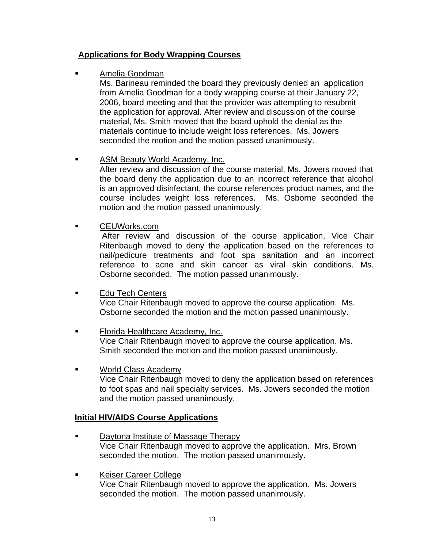# **Applications for Body Wrapping Courses**

# Amelia Goodman

 Ms. Barineau reminded the board they previously denied an application from Amelia Goodman for a body wrapping course at their January 22, 2006, board meeting and that the provider was attempting to resubmit the application for approval. After review and discussion of the course material, Ms. Smith moved that the board uphold the denial as the materials continue to include weight loss references. Ms. Jowers seconded the motion and the motion passed unanimously.

# **ASM Beauty World Academy, Inc.**

 After review and discussion of the course material, Ms. Jowers moved that the board deny the application due to an incorrect reference that alcohol is an approved disinfectant, the course references product names, and the course includes weight loss references. Ms. Osborne seconded the motion and the motion passed unanimously.

CEUWorks.com

 After review and discussion of the course application, Vice Chair Ritenbaugh moved to deny the application based on the references to nail/pedicure treatments and foot spa sanitation and an incorrect reference to acne and skin cancer as viral skin conditions. Ms. Osborne seconded. The motion passed unanimously.

- **Edu Tech Centers**  Vice Chair Ritenbaugh moved to approve the course application. Ms. Osborne seconded the motion and the motion passed unanimously.
- Florida Healthcare Academy, Inc. Vice Chair Ritenbaugh moved to approve the course application. Ms. Smith seconded the motion and the motion passed unanimously.
- World Class Academy Vice Chair Ritenbaugh moved to deny the application based on references to foot spas and nail specialty services. Ms. Jowers seconded the motion and the motion passed unanimously.

## **Initial HIV/AIDS Course Applications**

- **Daytona Institute of Massage Therapy**  Vice Chair Ritenbaugh moved to approve the application. Mrs. Brown seconded the motion. The motion passed unanimously.
- **Execute Career College**  Vice Chair Ritenbaugh moved to approve the application. Ms. Jowers seconded the motion. The motion passed unanimously.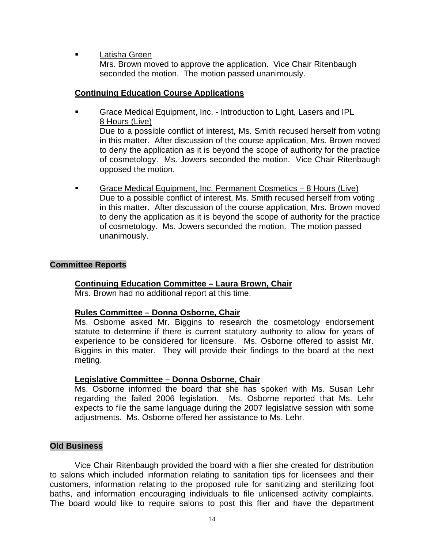**Latisha Green** 

 Mrs. Brown moved to approve the application. Vice Chair Ritenbaugh seconded the motion. The motion passed unanimously.

## **Continuing Education Course Applications**

- Grace Medical Equipment, Inc. Introduction to Light, Lasers and IPL 8 Hours (Live) Due to a possible conflict of interest, Ms. Smith recused herself from voting in this matter. After discussion of the course application, Mrs. Brown moved to deny the application as it is beyond the scope of authority for the practice of cosmetology. Ms. Jowers seconded the motion. Vice Chair Ritenbaugh opposed the motion.
- Grace Medical Equipment, Inc. Permanent Cosmetics 8 Hours (Live) Due to a possible conflict of interest, Ms. Smith recused herself from voting in this matter. After discussion of the course application, Mrs. Brown moved to deny the application as it is beyond the scope of authority for the practice of cosmetology. Ms. Jowers seconded the motion. The motion passed unanimously.

# **Committee Reports**

## **Continuing Education Committee – Laura Brown, Chair**

Mrs. Brown had no additional report at this time.

## **Rules Committee – Donna Osborne, Chair**

 Ms. Osborne asked Mr. Biggins to research the cosmetology endorsement statute to determine if there is current statutory authority to allow for years of experience to be considered for licensure. Ms. Osborne offered to assist Mr. Biggins in this mater. They will provide their findings to the board at the next meting.

## **Legislative Committee – Donna Osborne, Chair**

 Ms. Osborne informed the board that she has spoken with Ms. Susan Lehr regarding the failed 2006 legislation. Ms. Osborne reported that Ms. Lehr expects to file the same language during the 2007 legislative session with some adjustments. Ms. Osborne offered her assistance to Ms. Lehr.

## **Old Business**

 Vice Chair Ritenbaugh provided the board with a flier she created for distribution to salons which included information relating to sanitation tips for licensees and their customers, information relating to the proposed rule for sanitizing and sterilizing foot baths, and information encouraging individuals to file unlicensed activity complaints. The board would like to require salons to post this flier and have the department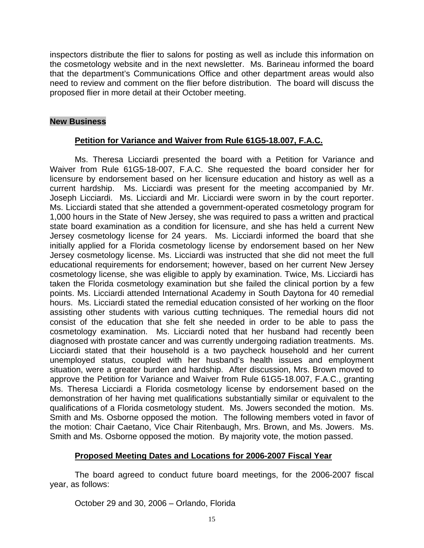inspectors distribute the flier to salons for posting as well as include this information on the cosmetology website and in the next newsletter. Ms. Barineau informed the board that the department's Communications Office and other department areas would also need to review and comment on the flier before distribution. The board will discuss the proposed flier in more detail at their October meeting.

# **New Business**

# **Petition for Variance and Waiver from Rule 61G5-18.007, F.A.C.**

 Ms. Theresa Licciardi presented the board with a Petition for Variance and Waiver from Rule 61G5-18-007, F.A.C. She requested the board consider her for licensure by endorsement based on her licensure education and history as well as a current hardship. Ms. Licciardi was present for the meeting accompanied by Mr. Joseph Licciardi. Ms. Licciardi and Mr. Licciardi were sworn in by the court reporter. Ms. Licciardi stated that she attended a government-operated cosmetology program for 1,000 hours in the State of New Jersey, she was required to pass a written and practical state board examination as a condition for licensure, and she has held a current New Jersey cosmetology license for 24 years. Ms. Licciardi informed the board that she initially applied for a Florida cosmetology license by endorsement based on her New Jersey cosmetology license. Ms. Licciardi was instructed that she did not meet the full educational requirements for endorsement; however, based on her current New Jersey cosmetology license, she was eligible to apply by examination. Twice, Ms. Licciardi has taken the Florida cosmetology examination but she failed the clinical portion by a few points. Ms. Licciardi attended International Academy in South Daytona for 40 remedial hours. Ms. Licciardi stated the remedial education consisted of her working on the floor assisting other students with various cutting techniques. The remedial hours did not consist of the education that she felt she needed in order to be able to pass the cosmetology examination. Ms. Licciardi noted that her husband had recently been diagnosed with prostate cancer and was currently undergoing radiation treatments. Ms. Licciardi stated that their household is a two paycheck household and her current unemployed status, coupled with her husband's health issues and employment situation, were a greater burden and hardship. After discussion, Mrs. Brown moved to approve the Petition for Variance and Waiver from Rule 61G5-18.007, F.A.C., granting Ms. Theresa Licciardi a Florida cosmetology license by endorsement based on the demonstration of her having met qualifications substantially similar or equivalent to the qualifications of a Florida cosmetology student. Ms. Jowers seconded the motion. Ms. Smith and Ms. Osborne opposed the motion. The following members voted in favor of the motion: Chair Caetano, Vice Chair Ritenbaugh, Mrs. Brown, and Ms. Jowers. Ms. Smith and Ms. Osborne opposed the motion. By majority vote, the motion passed.

# **Proposed Meeting Dates and Locations for 2006-2007 Fiscal Year**

 The board agreed to conduct future board meetings, for the 2006-2007 fiscal year, as follows:

October 29 and 30, 2006 – Orlando, Florida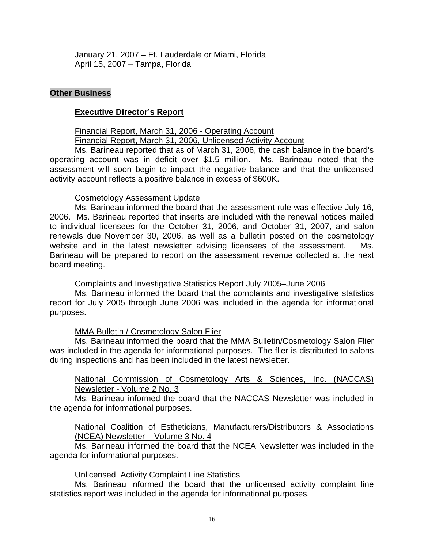January 21, 2007 – Ft. Lauderdale or Miami, Florida April 15, 2007 – Tampa, Florida

#### **Other Business**

#### **Executive Director's Report**

Financial Report, March 31, 2006 - Operating Account

Financial Report, March 31, 2006, Unlicensed Activity Account

 Ms. Barineau reported that as of March 31, 2006, the cash balance in the board's operating account was in deficit over \$1.5 million. Ms. Barineau noted that the assessment will soon begin to impact the negative balance and that the unlicensed activity account reflects a positive balance in excess of \$600K.

#### Cosmetology Assessment Update

 Ms. Barineau informed the board that the assessment rule was effective July 16, 2006. Ms. Barineau reported that inserts are included with the renewal notices mailed to individual licensees for the October 31, 2006, and October 31, 2007, and salon renewals due November 30, 2006, as well as a bulletin posted on the cosmetology website and in the latest newsletter advising licensees of the assessment. Ms. Barineau will be prepared to report on the assessment revenue collected at the next board meeting.

Complaints and Investigative Statistics Report July 2005–June 2006

 Ms. Barineau informed the board that the complaints and investigative statistics report for July 2005 through June 2006 was included in the agenda for informational purposes.

## MMA Bulletin / Cosmetology Salon Flier

 Ms. Barineau informed the board that the MMA Bulletin/Cosmetology Salon Flier was included in the agenda for informational purposes. The flier is distributed to salons during inspections and has been included in the latest newsletter.

 National Commission of Cosmetology Arts & Sciences, Inc. (NACCAS) Newsletter - Volume 2 No. 3

 Ms. Barineau informed the board that the NACCAS Newsletter was included in the agenda for informational purposes.

 National Coalition of Estheticians, Manufacturers/Distributors & Associations (NCEA) Newsletter – Volume 3 No. 4

 Ms. Barineau informed the board that the NCEA Newsletter was included in the agenda for informational purposes.

## Unlicensed Activity Complaint Line Statistics

 Ms. Barineau informed the board that the unlicensed activity complaint line statistics report was included in the agenda for informational purposes.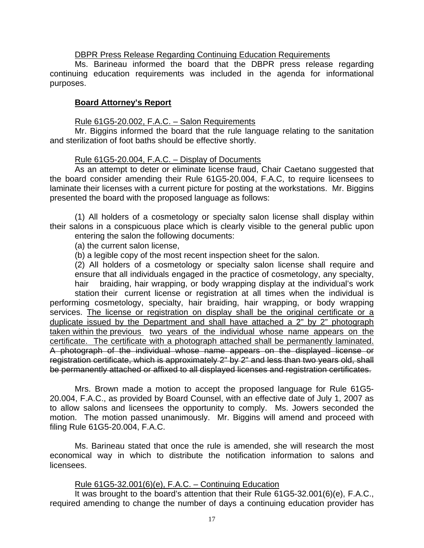#### DBPR Press Release Regarding Continuing Education Requirements

 Ms. Barineau informed the board that the DBPR press release regarding continuing education requirements was included in the agenda for informational purposes.

#### **Board Attorney's Report**

#### Rule 61G5-20.002, F.A.C. – Salon Requirements

 Mr. Biggins informed the board that the rule language relating to the sanitation and sterilization of foot baths should be effective shortly.

#### Rule 61G5-20.004, F.A.C. – Display of Documents

 As an attempt to deter or eliminate license fraud, Chair Caetano suggested that the board consider amending their Rule 61G5-20.004, F.A.C, to require licensees to laminate their licenses with a current picture for posting at the workstations. Mr. Biggins presented the board with the proposed language as follows:

 (1) All holders of a cosmetology or specialty salon license shall display within their salons in a conspicuous place which is clearly visible to the general public upon entering the salon the following documents:

(a) the current salon license,

(b) a legible copy of the most recent inspection sheet for the salon.

 (2) All holders of a cosmetology or specialty salon license shall require and ensure that all individuals engaged in the practice of cosmetology, any specialty, hair braiding, hair wrapping, or body wrapping display at the individual's work station their current license or registration at all times when the individual is performing cosmetology, specialty, hair braiding, hair wrapping, or body wrapping services. The license or registration on display shall be the original certificate or a duplicate issued by the Department and shall have attached a 2" by 2" photograph taken within the previous two years of the individual whose name appears on the certificate. The certificate with a photograph attached shall be permanently laminated. A photograph of the individual whose name appears on the displayed license or registration certificate, which is approximately 2" by 2" and less than two years old, shall be permanently attached or affixed to all displayed licenses and registration certificates.

Mrs. Brown made a motion to accept the proposed language for Rule 61G5- 20.004, F.A.C., as provided by Board Counsel, with an effective date of July 1, 2007 as to allow salons and licensees the opportunity to comply. Ms. Jowers seconded the motion. The motion passed unanimously. Mr. Biggins will amend and proceed with filing Rule 61G5-20.004, F.A.C.

Ms. Barineau stated that once the rule is amended, she will research the most economical way in which to distribute the notification information to salons and licensees.

#### Rule 61G5-32.001(6)(e), F.A.C. – Continuing Education

It was brought to the board's attention that their Rule 61G5-32.001(6)(e), F.A.C., required amending to change the number of days a continuing education provider has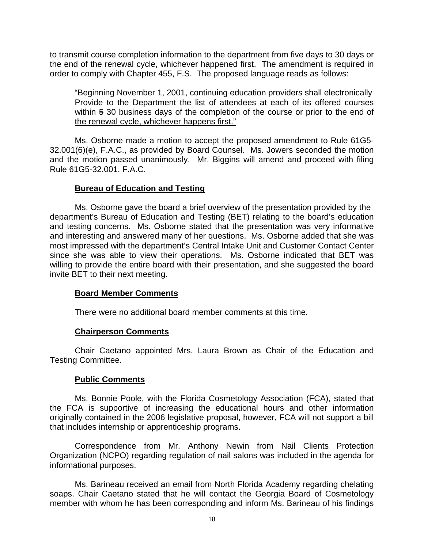to transmit course completion information to the department from five days to 30 days or the end of the renewal cycle, whichever happened first. The amendment is required in order to comply with Chapter 455, F.S. The proposed language reads as follows:

"Beginning November 1, 2001, continuing education providers shall electronically Provide to the Department the list of attendees at each of its offered courses within 5 30 business days of the completion of the course or prior to the end of the renewal cycle, whichever happens first."

Ms. Osborne made a motion to accept the proposed amendment to Rule 61G5- 32.001(6)(e), F.A.C., as provided by Board Counsel. Ms. Jowers seconded the motion and the motion passed unanimously. Mr. Biggins will amend and proceed with filing Rule 61G5-32.001, F.A.C.

# **Bureau of Education and Testing**

Ms. Osborne gave the board a brief overview of the presentation provided by the department's Bureau of Education and Testing (BET) relating to the board's education and testing concerns. Ms. Osborne stated that the presentation was very informative and interesting and answered many of her questions. Ms. Osborne added that she was most impressed with the department's Central Intake Unit and Customer Contact Center since she was able to view their operations. Ms. Osborne indicated that BET was willing to provide the entire board with their presentation, and she suggested the board invite BET to their next meeting.

## **Board Member Comments**

There were no additional board member comments at this time.

## **Chairperson Comments**

 Chair Caetano appointed Mrs. Laura Brown as Chair of the Education and Testing Committee.

## **Public Comments**

 Ms. Bonnie Poole, with the Florida Cosmetology Association (FCA), stated that the FCA is supportive of increasing the educational hours and other information originally contained in the 2006 legislative proposal, however, FCA will not support a bill that includes internship or apprenticeship programs.

 Correspondence from Mr. Anthony Newin from Nail Clients Protection Organization (NCPO) regarding regulation of nail salons was included in the agenda for informational purposes.

 Ms. Barineau received an email from North Florida Academy regarding chelating soaps. Chair Caetano stated that he will contact the Georgia Board of Cosmetology member with whom he has been corresponding and inform Ms. Barineau of his findings